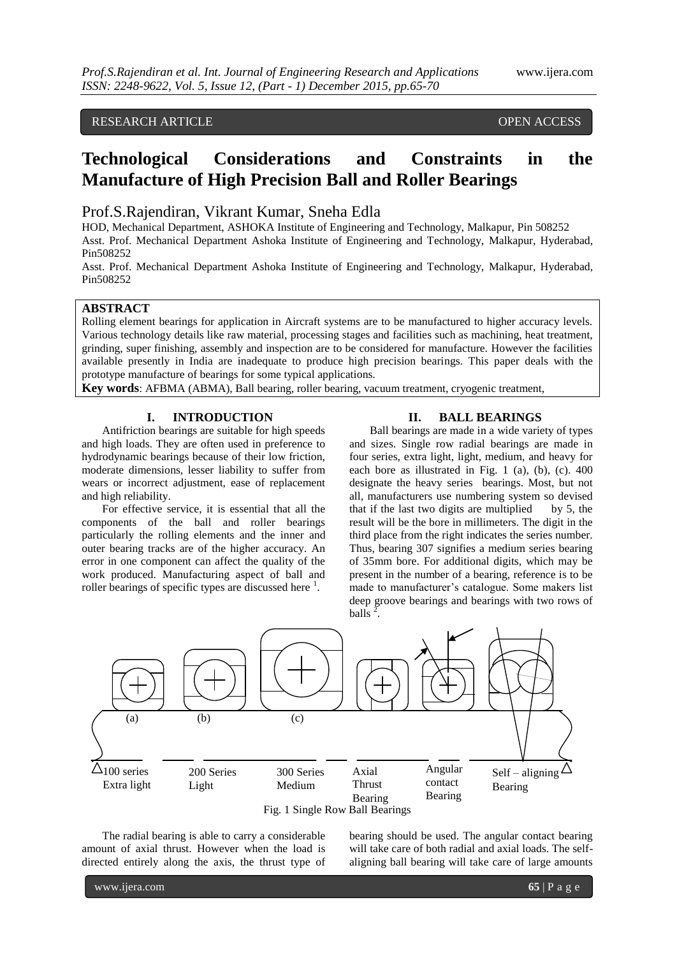## RESEARCH ARTICLE **CONSERVERS** OPEN ACCESS

# **Technological Considerations and Constraints in the Manufacture of High Precision Ball and Roller Bearings**

# Prof.S.Rajendiran, Vikrant Kumar, Sneha Edla

HOD, Mechanical Department, ASHOKA Institute of Engineering and Technology, Malkapur, Pin 508252 Asst. Prof. Mechanical Department Ashoka Institute of Engineering and Technology, Malkapur, Hyderabad, Pin508252

Asst. Prof. Mechanical Department Ashoka Institute of Engineering and Technology, Malkapur, Hyderabad, Pin508252

## **ABSTRACT**

Rolling element bearings for application in Aircraft systems are to be manufactured to higher accuracy levels. Various technology details like raw material, processing stages and facilities such as machining, heat treatment, grinding, super finishing, assembly and inspection are to be considered for manufacture. However the facilities available presently in India are inadequate to produce high precision bearings. This paper deals with the prototype manufacture of bearings for some typical applications.

**Key words**: AFBMA (ABMA), Ball bearing, roller bearing, vacuum treatment, cryogenic treatment,

#### **I. INTRODUCTION**

Antifriction bearings are suitable for high speeds and high loads. They are often used in preference to hydrodynamic bearings because of their low friction, moderate dimensions, lesser liability to suffer from wears or incorrect adjustment, ease of replacement and high reliability.

For effective service, it is essential that all the components of the ball and roller bearings particularly the rolling elements and the inner and outer bearing tracks are of the higher accuracy. An error in one component can affect the quality of the work produced. Manufacturing aspect of ball and roller bearings of specific types are discussed here  $<sup>1</sup>$ .</sup>

#### **II. BALL BEARINGS**

Ball bearings are made in a wide variety of types and sizes. Single row radial bearings are made in four series, extra light, light, medium, and heavy for each bore as illustrated in Fig. 1 (a), (b), (c). 400 designate the heavy series bearings. Most, but not all, manufacturers use numbering system so devised that if the last two digits are multiplied by  $5$ , the result will be the bore in millimeters. The digit in the third place from the right indicates the series number. Thus, bearing 307 signifies a medium series bearing of 35mm bore. For additional digits, which may be present in the number of a bearing, reference is to be made to manufacturer's catalogue. Some makers list deep groove bearings and bearings with two rows of balls  $\overline{2}$ .



The radial bearing is able to carry a considerable amount of axial thrust. However when the load is directed entirely along the axis, the thrust type of

bearing should be used. The angular contact bearing will take care of both radial and axial loads. The selfaligning ball bearing will take care of large amounts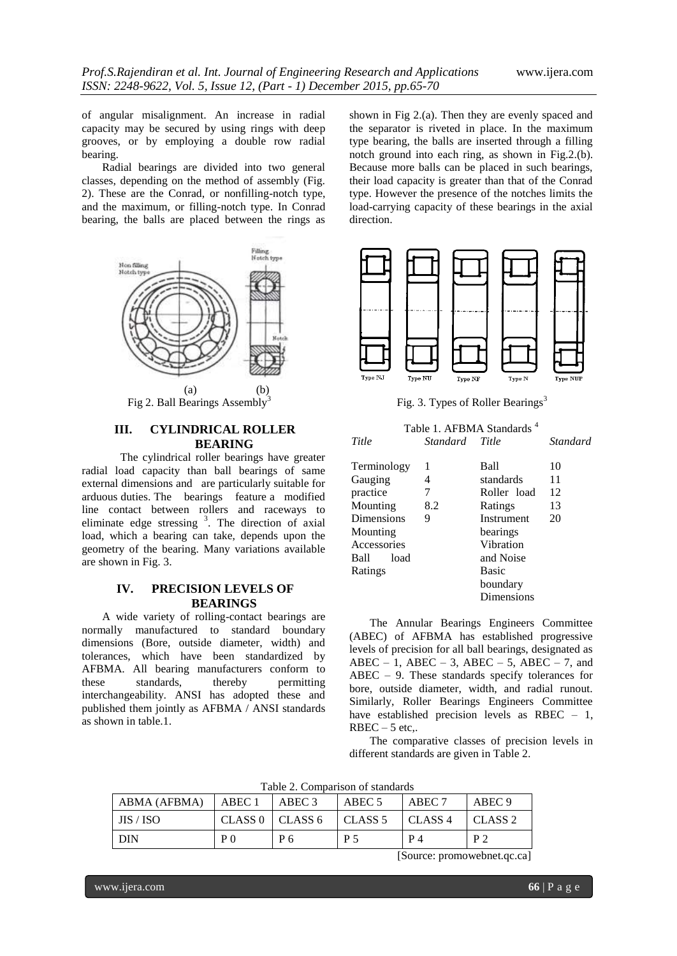of angular misalignment. An increase in radial capacity may be secured by using rings with deep grooves, or by employing a double row radial bearing.

Radial bearings are divided into two general classes, depending on the method of assembly (Fig. 2). These are the Conrad, or nonfilling-notch type, and the maximum, or filling-notch type. In Conrad bearing, the balls are placed between the rings as



Fig 2. Ball Bearings Assembly

## **III. CYLINDRICAL ROLLER BEARING**

The cylindrical roller bearings have greater radial load capacity than ball bearings of same external dimensions and are particularly suitable for arduous duties. The bearings feature a modified line contact between rollers and raceways to eliminate edge stressing  $3$ . The direction of axial load, which a bearing can take, depends upon the geometry of the bearing. Many variations available are shown in Fig. 3.

## **IV. PRECISION LEVELS OF BEARINGS**

A wide variety of rolling-contact bearings are normally manufactured to standard boundary dimensions (Bore, outside diameter, width) and tolerances, which have been standardized by AFBMA. All bearing manufacturers conform to these standards, thereby permitting interchangeability. ANSI has adopted these and published them jointly as AFBMA / ANSI standards as shown in table.1.

shown in Fig 2.(a). Then they are evenly spaced and the separator is riveted in place. In the maximum type bearing, the balls are inserted through a filling notch ground into each ring, as shown in Fig.2.(b). Because more balls can be placed in such bearings, their load capacity is greater than that of the Conrad type. However the presence of the notches limits the load-carrying capacity of these bearings in the axial direction.



Fig. 3. Types of Roller Bearings<sup>3</sup>

|              |                | Table 1. AFBMA Standards <sup>4</sup> |          |
|--------------|----------------|---------------------------------------|----------|
| Title        | Standard Title |                                       | Standard |
| Terminology  | 1              | Ball                                  | 10       |
| Gauging      | 4              | standards                             | 11       |
| practice     | 7              | Roller load                           | 12       |
| Mounting     | 8.2            | Ratings                               | 13       |
| Dimensions   | 9              | Instrument                            | 20       |
| Mounting     |                | bearings                              |          |
| Accessories  |                | Vibration                             |          |
| Ball<br>load |                | and Noise                             |          |
| Ratings      |                | <b>Basic</b>                          |          |
|              |                | boundary                              |          |
|              |                | Dimensions                            |          |

The Annular Bearings Engineers Committee (ABEC) of AFBMA has established progressive levels of precision for all ball bearings, designated as ABEC – 1, ABEC – 3, ABEC – 5, ABEC – 7, and ABEC – 9. These standards specify tolerances for bore, outside diameter, width, and radial runout. Similarly, Roller Bearings Engineers Committee have established precision levels as RBEC – 1,  $RBEC - 5$  etc..

The comparative classes of precision levels in different standards are given in Table 2.

Table 2. Comparison of standards

| ABMA (AFBMA) | ABEC 1             | ABEC 3    | ABEC 5  | ABEC 7    | ABEC 9             |
|--------------|--------------------|-----------|---------|-----------|--------------------|
| JIS / ISO    | CLASS <sub>0</sub> | I CLASS 6 | CLASS 5 | I CLASS 4 | CLASS <sub>2</sub> |
| <b>DIN</b>   | P 0                | P 6       | P 5     | P 4       | $\mathbf{D} \cap$  |

[Source: promowebnet.qc.ca]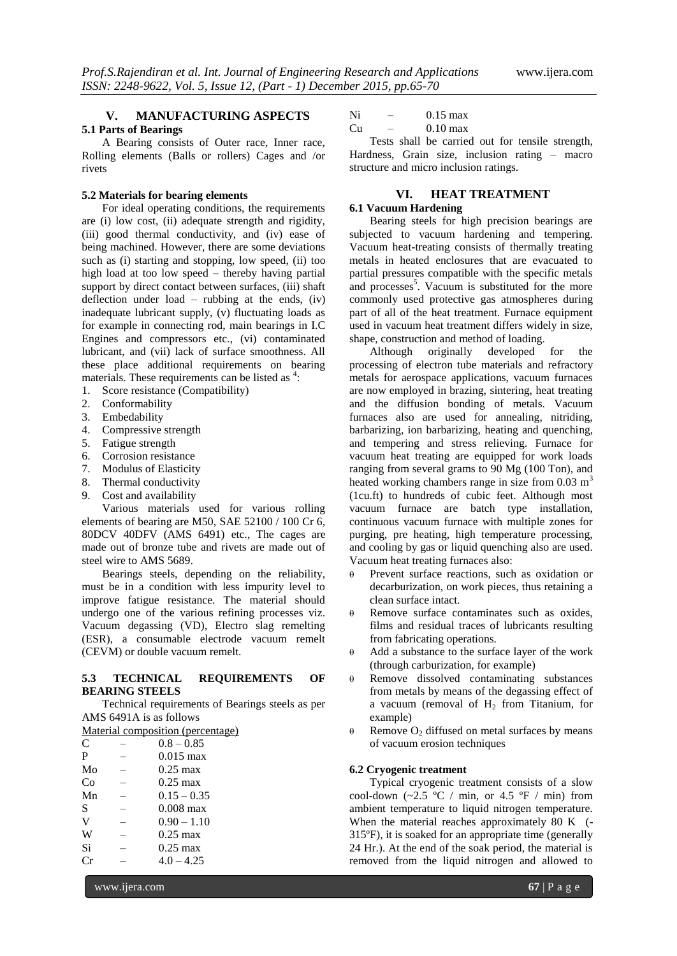#### **V. MANUFACTURING ASPECTS 5.1 Parts of Bearings**

A Bearing consists of Outer race, Inner race, Rolling elements (Balls or rollers) Cages and /or rivets

#### **5.2 Materials for bearing elements**

For ideal operating conditions, the requirements are (i) low cost, (ii) adequate strength and rigidity, (iii) good thermal conductivity, and (iv) ease of being machined. However, there are some deviations such as (i) starting and stopping, low speed, (ii) too high load at too low speed – thereby having partial support by direct contact between surfaces, (iii) shaft deflection under load – rubbing at the ends, (iv) inadequate lubricant supply, (v) fluctuating loads as for example in connecting rod, main bearings in I.C Engines and compressors etc., (vi) contaminated lubricant, and (vii) lack of surface smoothness. All these place additional requirements on bearing materials. These requirements can be listed as  $4$ :

- 1. Score resistance (Compatibility)
- 2. Conformability
- 3. Embedability
- 4. Compressive strength
- 5. Fatigue strength
- 6. Corrosion resistance
- 7. Modulus of Elasticity
- 8. Thermal conductivity
- 9. Cost and availability

Various materials used for various rolling elements of bearing are M50, SAE 52100 / 100 Cr 6, 80DCV 40DFV (AMS 6491) etc., The cages are made out of bronze tube and rivets are made out of steel wire to AMS 5689.

Bearings steels, depending on the reliability, must be in a condition with less impurity level to improve fatigue resistance. The material should undergo one of the various refining processes viz. Vacuum degassing (VD), Electro slag remelting (ESR), a consumable electrode vacuum remelt (CEVM) or double vacuum remelt.

#### **5.3 TECHNICAL REQUIREMENTS OF BEARING STEELS**

Technical requirements of Bearings steels as per AMS 6491A is as follows

| Material composition (percentage) |              |  |
|-----------------------------------|--------------|--|
| C                                 | $0.8 - 0.85$ |  |

| P  | $0.015$ max        |
|----|--------------------|
| Mo | $0.25 \text{ max}$ |
| Co | $0.25 \text{ max}$ |
| Mn | $0.15 - 0.35$      |
| S  | $0.008$ max        |
| V  | $0.90 - 1.10$      |
| W  | $0.25 \text{ max}$ |
| Si | $0.25$ max         |
| Сr | $4.0 - 4.25$       |

 $Ni - 0.15 \text{ max}$ 

# $Cu$  – 0.10 max

Tests shall be carried out for tensile strength, Hardness, Grain size, inclusion rating – macro structure and micro inclusion ratings.

## **VI. HEAT TREATMENT**

## **6.1 Vacuum Hardening**

Bearing steels for high precision bearings are subjected to vacuum hardening and tempering. Vacuum heat-treating consists of thermally treating metals in heated enclosures that are evacuated to partial pressures compatible with the specific metals and processes<sup>5</sup>. Vacuum is substituted for the more commonly used protective gas atmospheres during part of all of the heat treatment. Furnace equipment used in vacuum heat treatment differs widely in size, shape, construction and method of loading.

Although originally developed for the processing of electron tube materials and refractory metals for aerospace applications, vacuum furnaces are now employed in brazing, sintering, heat treating and the diffusion bonding of metals. Vacuum furnaces also are used for annealing, nitriding, barbarizing, ion barbarizing, heating and quenching, and tempering and stress relieving. Furnace for vacuum heat treating are equipped for work loads ranging from several grams to 90 Mg (100 Ton), and heated working chambers range in size from  $0.03 \text{ m}^3$ (1cu.ft) to hundreds of cubic feet. Although most vacuum furnace are batch type installation, continuous vacuum furnace with multiple zones for purging, pre heating, high temperature processing, and cooling by gas or liquid quenching also are used. Vacuum heat treating furnaces also:

- Prevent surface reactions, such as oxidation or decarburization, on work pieces, thus retaining a clean surface intact.
- $\theta$  Remove surface contaminates such as oxides, films and residual traces of lubricants resulting from fabricating operations.
- $\theta$  Add a substance to the surface layer of the work (through carburization, for example)
- $\theta$  Remove dissolved contaminating substances from metals by means of the degassing effect of a vacuum (removal of  $H<sub>2</sub>$  from Titanium, for example)
- $\theta$  Remove  $O_2$  diffused on metal surfaces by means of vacuum erosion techniques

#### **6.2 Cryogenic treatment**

Typical cryogenic treatment consists of a slow cool-down  $(\sim 2.5 \text{ °C} / \text{min}, \text{ or } 4.5 \text{ °F} / \text{min})$  from ambient temperature to liquid nitrogen temperature. When the material reaches approximately 80 K (-315ºF), it is soaked for an appropriate time (generally 24 Hr.). At the end of the soak period, the material is removed from the liquid nitrogen and allowed to

www.ijera.com **67** | P a g e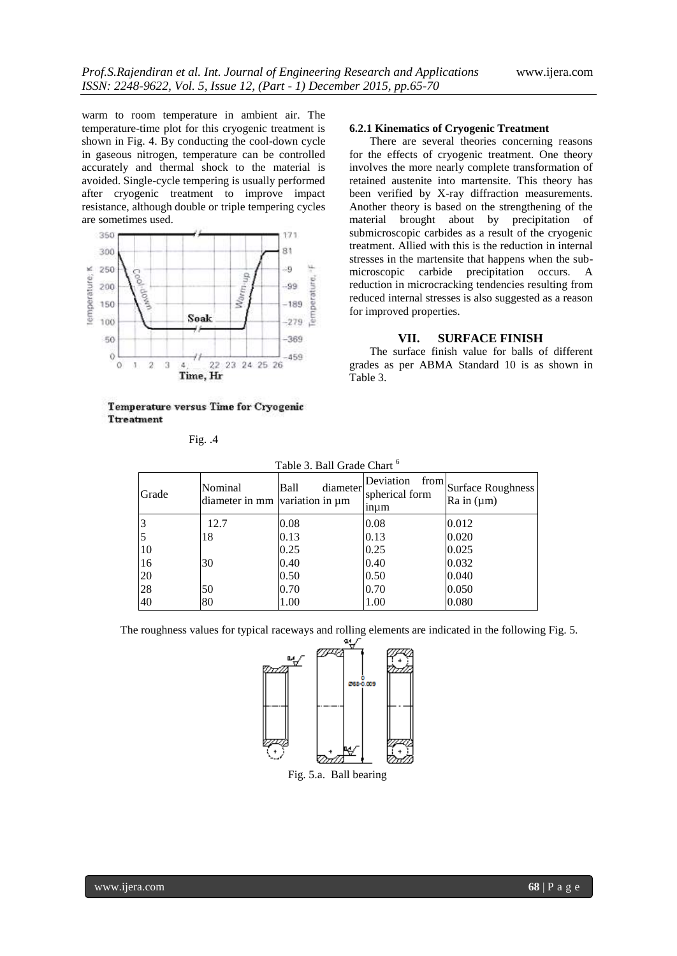warm to room temperature in ambient air. The temperature-time plot for this cryogenic treatment is shown in Fig. 4. By conducting the cool-down cycle in gaseous nitrogen, temperature can be controlled accurately and thermal shock to the material is avoided. Single-cycle tempering is usually performed after cryogenic treatment to improve impact resistance, although double or triple tempering cycles are sometimes used.



Temperature versus Time for Cryogenic **Ttreatment** 

**6.2.1 Kinematics of Cryogenic Treatment**

There are several theories concerning reasons for the effects of cryogenic treatment. One theory involves the more nearly complete transformation of retained austenite into martensite. This theory has been verified by X-ray diffraction measurements. Another theory is based on the strengthening of the material brought about by precipitation of submicroscopic carbides as a result of the cryogenic treatment. Allied with this is the reduction in internal stresses in the martensite that happens when the submicroscopic carbide precipitation occurs. A reduction in microcracking tendencies resulting from reduced internal stresses is also suggested as a reason for improved properties.

## **VII. SURFACE FINISH**

The surface finish value for balls of different grades as per ABMA Standard 10 is as shown in Table 3.

| Table 3. Ball Grade Chart <sup>6</sup> |                                           |                  |                                     |                                                          |
|----------------------------------------|-------------------------------------------|------------------|-------------------------------------|----------------------------------------------------------|
| Grade                                  | Nominal<br>diameter in mm variation in um | Ball<br>diameter | Deviation<br>spherical form<br>inum | from Surface Roughness <sup>1</sup><br>$Ra$ in $(\mu m)$ |
| 3                                      | 12.7                                      | 0.08             | 0.08                                | 0.012                                                    |
| 5                                      | 18                                        | 0.13             | 0.13                                | 0.020                                                    |
| <sup>10</sup>                          |                                           | 0.25             | 0.25                                | 0.025                                                    |
| 16                                     | 30                                        | 0.40             | 0.40                                | 0.032                                                    |
| 20                                     |                                           | 0.50             | 0.50                                | 0.040                                                    |
| 28                                     | 50                                        | 0.70             | 0.70                                | 0.050                                                    |
| 40                                     | 80                                        | 1.00             | 1.00                                | 0.080                                                    |

The roughness values for typical raceways and rolling elements are indicated in the following Fig. 5.



Fig. 5.a. Ball bearing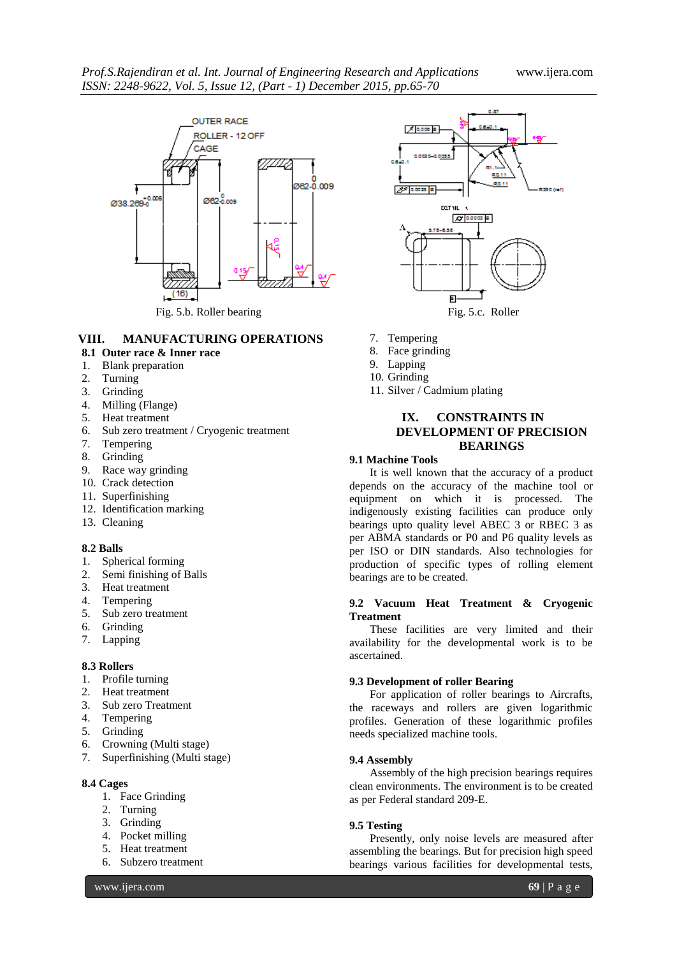

## **VIII. MANUFACTURING OPERATIONS**

- **8.1 Outer race & Inner race**
- 1. Blank preparation
- 2. Turning
- 3. Grinding
- 4. Milling (Flange)
- 5. Heat treatment
- 6. Sub zero treatment / Cryogenic treatment
- 7. Tempering
- 8. Grinding
- 9. Race way grinding
- 10. Crack detection
- 11. Superfinishing
- 12. Identification marking
- 13. Cleaning

#### **8.2 Balls**

- 1. Spherical forming<br>2. Semi finishing of 1
- Semi finishing of Balls
- 3. Heat treatment
- 4. Tempering
- 5. Sub zero treatment
- 6. Grinding
- 7. Lapping

## **8.3 Rollers**

- 1. Profile turning
- 2. Heat treatment
- 3. Sub zero Treatment
- 4. Tempering
- 5. Grinding
- 6. Crowning (Multi stage)
- 7. Superfinishing (Multi stage)

#### **8.4 Cages**

- 1. Face Grinding
- 2. Turning
- 3. Grinding
- 4. Pocket milling
- 5. Heat treatment
- 6. Subzero treatment

 $7$  0.000  $\sigma$ RAI  $2^7$  0.0025 | 8 | **THE GAD** DET YIL 4  $7700$ p.

- 7. Tempering
- 8. Face grinding
- 9. Lapping
- 10. Grinding
- 11. Silver / Cadmium plating

## **IX. CONSTRAINTS IN DEVELOPMENT OF PRECISION BEARINGS**

## **9.1 Machine Tools**

It is well known that the accuracy of a product depends on the accuracy of the machine tool or equipment on which it is processed. The indigenously existing facilities can produce only bearings upto quality level ABEC 3 or RBEC 3 as per ABMA standards or P0 and P6 quality levels as per ISO or DIN standards. Also technologies for production of specific types of rolling element bearings are to be created.

#### **9.2 Vacuum Heat Treatment & Cryogenic Treatment**

These facilities are very limited and their availability for the developmental work is to be ascertained.

#### **9.3 Development of roller Bearing**

For application of roller bearings to Aircrafts, the raceways and rollers are given logarithmic profiles. Generation of these logarithmic profiles needs specialized machine tools.

#### **9.4 Assembly**

Assembly of the high precision bearings requires clean environments. The environment is to be created as per Federal standard 209-E.

#### **9.5 Testing**

Presently, only noise levels are measured after assembling the bearings. But for precision high speed bearings various facilities for developmental tests,